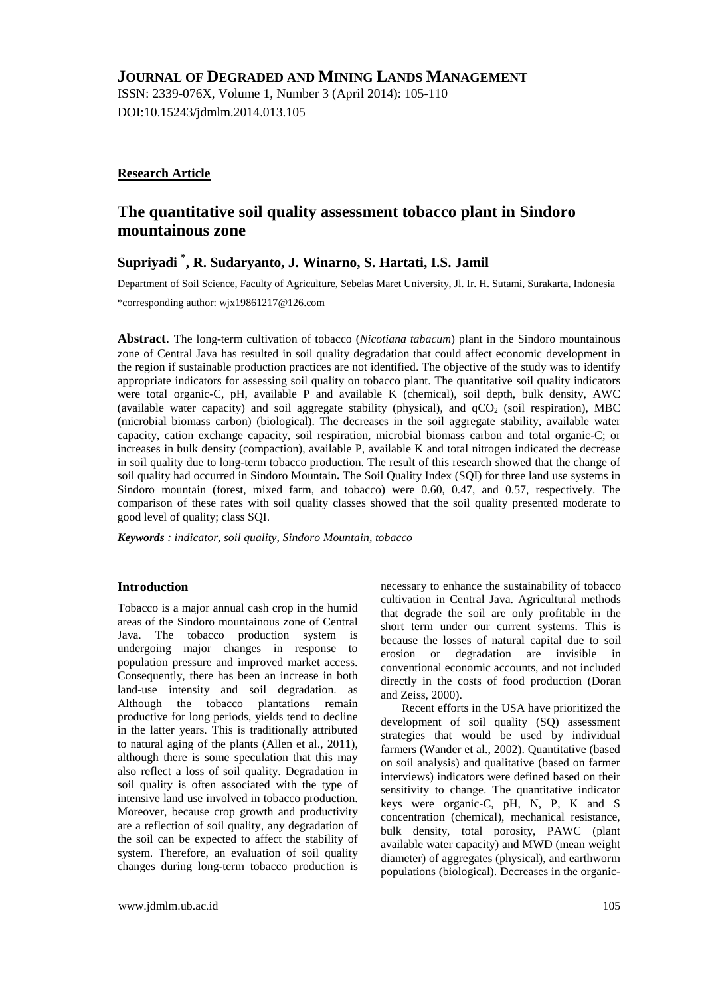DOI:10.15243/jdmlm.2014.013.105

# **Research Article**

# **The quantitative soil quality assessment tobacco plant in Sindoro mountainous zone**

# **Supriyadi \* , R. Sudaryanto, J. Winarno, S. Hartati, I.S. Jamil**

Department of Soil Science, Faculty of Agriculture, Sebelas Maret University, Jl. Ir. H. Sutami, Surakarta, Indonesia

\*corresponding author: [wjx19861217@126.com](mailto:wjx19861217@126.com)

**Abstract**. The long-term cultivation of tobacco (*Nicotiana tabacum*) plant in the Sindoro mountainous zone of Central Java has resulted in soil quality degradation that could affect economic development in the region if sustainable production practices are not identified. The objective of the study was to identify appropriate indicators for assessing soil quality on tobacco plant. The quantitative soil quality indicators were total organic-C, pH, available P and available K (chemical), soil depth, bulk density, AWC (available water capacity) and soil aggregate stability (physical), and  $qCO<sub>2</sub>$  (soil respiration), MBC (microbial biomass carbon) (biological). The decreases in the soil aggregate stability, available water capacity, cation exchange capacity, soil respiration, microbial biomass carbon and total organic-C; or increases in bulk density (compaction), available P, available K and total nitrogen indicated the decrease in soil quality due to long-term tobacco production. The result of this research showed that the change of soil quality had occurred in Sindoro Mountain**.** The Soil Quality Index (SQI) for three land use systems in Sindoro mountain (forest, mixed farm, and tobacco) were 0.60, 0.47, and 0.57, respectively. The comparison of these rates with soil quality classes showed that the soil quality presented moderate to good level of quality; class SQI.

*Keywords : indicator, soil quality, Sindoro Mountain, tobacco*

# **Introduction**

Tobacco is a major annual cash crop in the humid areas of the Sindoro mountainous zone of Central Java. The tobacco production system is undergoing major changes in response to population pressure and improved market access. Consequently, there has been an increase in both land-use intensity and soil degradation. as Although the tobacco plantations remain productive for long periods, yields tend to decline in the latter years. This is traditionally attributed to natural aging of the plants (Allen et al., 2011), although there is some speculation that this may also reflect a loss of soil quality. Degradation in soil quality is often associated with the type of intensive land use involved in tobacco production. Moreover, because crop growth and productivity are a reflection of soil quality, any degradation of the soil can be expected to affect the stability of system. Therefore, an evaluation of soil quality changes during long-term tobacco production is necessary to enhance the sustainability of tobacco cultivation in Central Java. Agricultural methods that degrade the soil are only profitable in the short term under our current systems. This is because the losses of natural capital due to soil erosion or degradation are invisible in conventional economic accounts, and not included directly in the costs of food production (Doran and Zeiss, 2000).

Recent efforts in the USA have prioritized the development of soil quality (SQ) assessment strategies that would be used by individual farmers (Wander et al., 2002). Quantitative (based on soil analysis) and qualitative (based on farmer interviews) indicators were defined based on their sensitivity to change. The quantitative indicator keys were organic-C, pH, N, P, K and S concentration (chemical), mechanical resistance, bulk density, total porosity, PAWC (plant available water capacity) and MWD (mean weight diameter) of aggregates (physical), and earthworm populations (biological). Decreases in the organic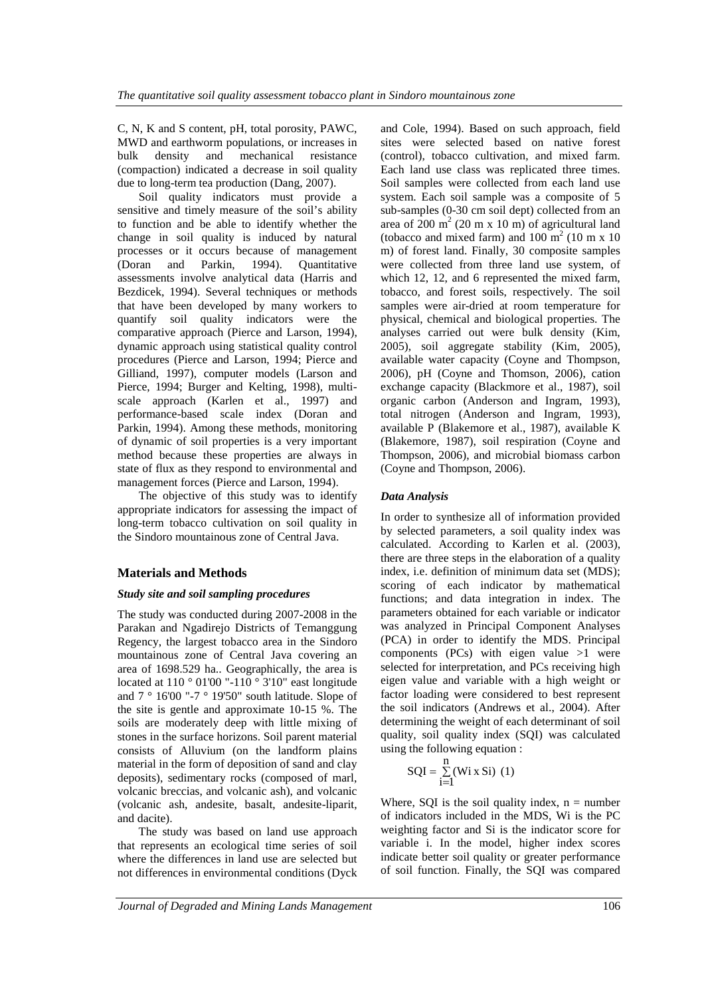C, N, K and S content, pH, total porosity, PAWC, MWD and earthworm populations, or increases in bulk density and mechanical resistance (compaction) indicated a decrease in soil quality due to long-term tea production (Dang, 2007).

Soil quality indicators must provide a sensitive and timely measure of the soil's ability to function and be able to identify whether the change in soil quality is induced by natural processes or it occurs because of management (Doran and Parkin, 1994). Quantitative assessments involve analytical data (Harris and Bezdicek, 1994). Several techniques or methods that have been developed by many workers to quantify soil quality indicators were the comparative approach (Pierce and Larson, 1994), dynamic approach using statistical quality control procedures (Pierce and Larson, 1994; Pierce and Gilliand, 1997), computer models (Larson and Pierce, 1994; Burger and Kelting, 1998), multiscale approach (Karlen et al., 1997) and performance-based scale index (Doran and Parkin, 1994). Among these methods, monitoring of dynamic of soil properties is a very important method because these properties are always in state of flux as they respond to environmental and management forces (Pierce and Larson, 1994).

The objective of this study was to identify appropriate indicators for assessing the impact of long-term tobacco cultivation on soil quality in the Sindoro mountainous zone of Central Java.

# **Materials and Methods**

### *Study site and soil sampling procedures*

The study was conducted during 2007-2008 in the Parakan and Ngadirejo Districts of Temanggung Regency, the largest tobacco area in the Sindoro mountainous zone of Central Java covering an area of 1698.529 ha.. Geographically, the area is located at  $110\degree 01'00$  "- $110\degree 3'10''$  east longitude and  $7 \degree 16'00$  "-7  $\degree 19'50$ " south latitude. Slope of the site is gentle and approximate 10-15 %. The soils are moderately deep with little mixing of stones in the surface horizons. Soil parent material consists of Alluvium (on the landform plains material in the form of deposition of sand and clay deposits), sedimentary rocks (composed of marl, volcanic breccias, and volcanic ash), and volcanic (volcanic ash, andesite, basalt, andesite-liparit, and dacite).

The study was based on land use approach that represents an ecological time series of soil where the differences in land use are selected but not differences in environmental conditions (Dyck

and Cole, 1994). Based on such approach, field sites were selected based on native forest (control), tobacco cultivation, and mixed farm. Each land use class was replicated three times. Soil samples were collected from each land use system. Each soil sample was a composite of 5 sub-samples (0-30 cm soil dept) collected from an area of  $200 \text{ m}^2$  (20 m x 10 m) of agricultural land (tobacco and mixed farm) and  $100 \text{ m}^2$  (10 m x 10) m) of forest land. Finally, 30 composite samples were collected from three land use system, of which 12, 12, and 6 represented the mixed farm, tobacco, and forest soils, respectively. The soil samples were air-dried at room temperature for physical, chemical and biological properties. The analyses carried out were bulk density (Kim, 2005), soil aggregate stability (Kim, 2005), available water capacity (Coyne and Thompson, 2006), pH (Coyne and Thomson, 2006), cation exchange capacity (Blackmore et al., 1987), soil organic carbon (Anderson and Ingram, 1993), total nitrogen (Anderson and Ingram, 1993), available P (Blakemore et al., 1987), available K (Blakemore, 1987), soil respiration (Coyne and Thompson, 2006), and microbial biomass carbon (Coyne and Thompson, 2006).

## *Data Analysis*

In order to synthesize all of information provided by selected parameters, a soil quality index was calculated. According to Karlen et al. (2003), there are three steps in the elaboration of a quality index, i.e. definition of minimum data set (MDS); scoring of each indicator by mathematical functions; and data integration in index. The parameters obtained for each variable or indicator was analyzed in Principal Component Analyses (PCA) in order to identify the MDS. Principal components (PCs) with eigen value  $>1$  were selected for interpretation, and PCs receiving high eigen value and variable with a high weight or factor loading were considered to best represent the soil indicators (Andrews et al., 2004). After determining the weight of each determinant of soil quality, soil quality index (SQI) was calculated using the following equation :

$$
SQL = \sum_{i=1}^{n} (Wi X Si) (1)
$$

Where, SQI is the soil quality index,  $n =$  number of indicators included in the MDS, Wi is the PC weighting factor and Si is the indicator score for variable i. In the model, higher index scores indicate better soil quality or greater performance of soil function. Finally, the SQI was compared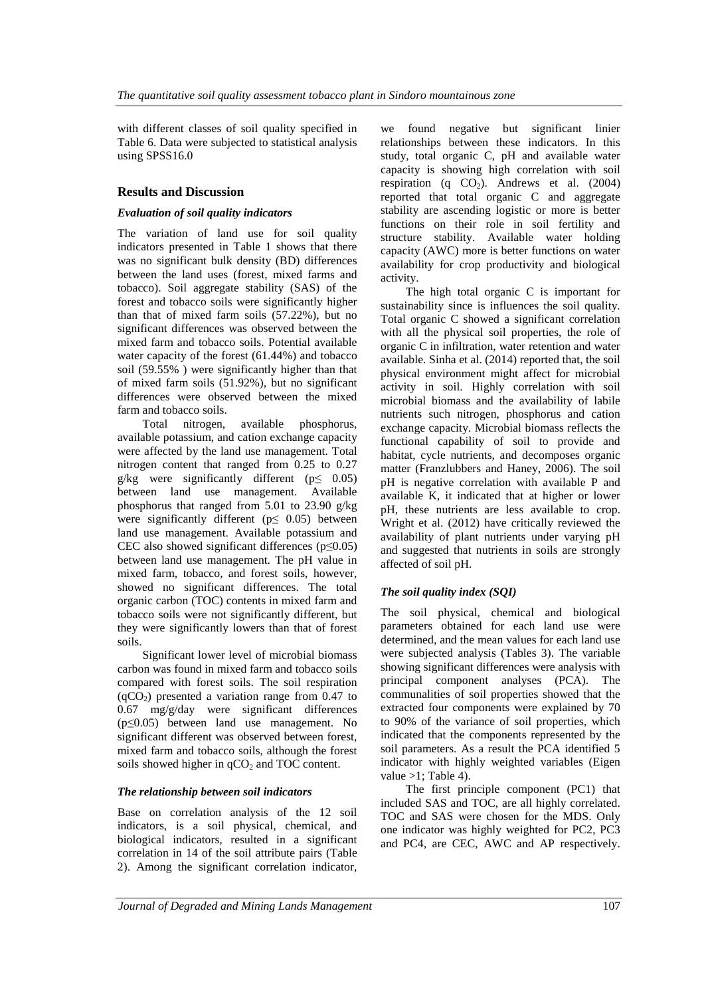with different classes of soil quality specified in Table 6. Data were subjected to statistical analysis using SPSS16.0

## **Results and Discussion**

### *Evaluation of soil quality indicators*

The variation of land use for soil quality indicators presented in Table 1 shows that there was no significant bulk density (BD) differences between the land uses (forest, mixed farms and tobacco). Soil aggregate stability (SAS) of the forest and tobacco soils were significantly higher than that of mixed farm soils (57.22%), but no significant differences was observed between the mixed farm and tobacco soils. Potential available water capacity of the forest (61.44%) and tobacco soil (59.55% ) were significantly higher than that of mixed farm soils (51.92%), but no significant differences were observed between the mixed farm and tobacco soils.

Total nitrogen, available phosphorus, available potassium, and cation exchange capacity were affected by the land use management. Total nitrogen content that ranged from 0.25 to 0.27 g/kg were significantly different ( $p \leq 0.05$ ) between land use management. Available phosphorus that ranged from 5.01 to 23.90 g/kg were significantly different ( $p \leq 0.05$ ) between land use management. Available potassium and CEC also showed significant differences ( $p \le 0.05$ ) between land use management. The pH value in mixed farm, tobacco, and forest soils, however, showed no significant differences. The total organic carbon (TOC) contents in mixed farm and tobacco soils were not significantly different, but they were significantly lowers than that of forest soils.

Significant lower level of microbial biomass carbon was found in mixed farm and tobacco soils compared with forest soils. The soil respiration  $(qCO<sub>2</sub>)$  presented a variation range from 0.47 to 0.67 mg/g/day were significant differences (p≤0.05) between land use management. No significant different was observed between forest, mixed farm and tobacco soils, although the forest soils showed higher in  $qCO<sub>2</sub>$  and TOC content.

### *The relationship between soil indicators*

Base on correlation analysis of the 12 soil indicators, is a soil physical, chemical, and biological indicators, resulted in a significant correlation in 14 of the soil attribute pairs (Table 2). Among the significant correlation indicator,

we found negative but significant linier relationships between these indicators. In this study, total organic C, pH and available water capacity is showing high correlation with soil respiration (q  $CO<sub>2</sub>$ ). Andrews et al. (2004) reported that total organic C and aggregate stability are ascending logistic or more is better functions on their role in soil fertility and structure stability. Available water holding capacity (AWC) more is better functions on water availability for crop productivity and biological activity.

The high total organic C is important for sustainability since is influences the soil quality. Total organic C showed a significant correlation with all the physical soil properties, the role of organic C in infiltration, water retention and water available. Sinha et al. (2014) reported that, the soil physical environment might affect for microbial activity in soil. Highly correlation with soil microbial biomass and the availability of labile nutrients such nitrogen, phosphorus and cation exchange capacity. Microbial biomass reflects the functional capability of soil to provide and habitat, cycle nutrients, and decomposes organic matter (Franzlubbers and Haney, 2006). The soil pH is negative correlation with available P and available K, it indicated that at higher or lower pH, these nutrients are less available to crop. Wright et al. (2012) have critically reviewed the availability of plant nutrients under varying pH and suggested that nutrients in soils are strongly affected of soil pH.

## *The soil quality index (SQI)*

The soil physical, chemical and biological parameters obtained for each land use were determined, and the mean values for each land use were subjected analysis (Tables 3). The variable showing significant differences were analysis with principal component analyses (PCA). The communalities of soil properties showed that the extracted four components were explained by 70 to 90% of the variance of soil properties, which indicated that the components represented by the soil parameters. As a result the PCA identified 5 indicator with highly weighted variables (Eigen value  $>1$ ; Table 4).

The first principle component (PC1) that included SAS and TOC, are all highly correlated. TOC and SAS were chosen for the MDS. Only one indicator was highly weighted for PC2, PC3 and PC4, are CEC, AWC and AP respectively.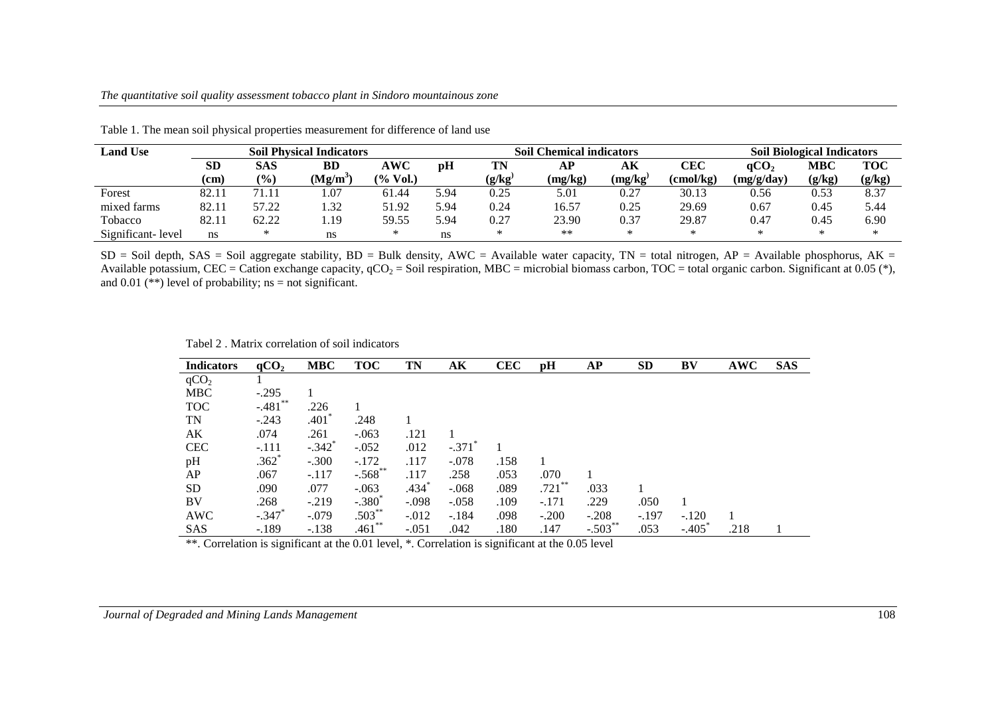| <b>Land Use</b>   | <b>Soil Physical Indicators</b> |               |        |           | <b>Soil Chemical indicators</b> |                            |         |         | <b>Soil Biological Indicators</b> |                  |        |        |
|-------------------|---------------------------------|---------------|--------|-----------|---------------------------------|----------------------------|---------|---------|-----------------------------------|------------------|--------|--------|
|                   | <b>SD</b>                       | SAS           | BD     | AWC       | pH                              | TN                         | АP      | AК      | CEC                               | qCO <sub>2</sub> | MBC    | TOC    |
|                   | (cm                             | $\frac{9}{0}$ | (Mg/m` | $%$ Vol.) |                                 | $(\mathbf{g}/\mathbf{kg})$ | (mg/kg) | (mg/kg) | (cmol/kg)                         | (mg/g/day)       | (g/kg) | (g/kg) |
| Forest            | 82.1                            | 71.11         | .07    | 61.44     | 5.94                            | 0.25                       | 5.01    | 0.27    | 30.13                             | 0.56             | 0.53   | 8.37   |
| mixed farms       | 82.1                            | 57.22         | .32    | 51.92     | 5.94                            | 0.24                       | 16.57   | 0.25    | 29.69                             | 0.67             | 0.45   | 5.44   |
| Tobacco           | 82.1                            | 62.22         | .19    | 59.55     | 5.94                            | 0.27                       | 23.90   | 0.37    | 29.87                             | 0.47             | 0.45   | 6.90   |
| Significant-level | ns                              |               | ns     |           | ns                              | ∗                          | **      | ∗       | ⋇                                 | $\ast$           | $\ast$ | ⋇      |

Table 1. The mean soil physical properties measurement for difference of land use

 $SD = Soil$  depth,  $SAS = Soil$  aggregate stability,  $BD = Bulk$  density,  $AWC = Avallab$  water capacity,  $TN = total$  nitrogen,  $AP = Avallab$  phosphorus,  $AK = CD$ Available potassium, CEC = Cation exchange capacity,  $qCO_2$  = Soil respiration, MBC = microbial biomass carbon, TOC = total organic carbon. Significant at 0.05 (\*), and 0.01 (\*\*) level of probability; ns = not significant.

Tabel 2 . Matrix correlation of soil indicators

| <b>Indicators</b> | qCO <sub>2</sub> | <b>MBC</b>           | <b>TOC</b> | TN      | AК      | <b>CEC</b> | pH        | <b>AP</b>  | <b>SD</b> | BV      | <b>AWC</b> | <b>SAS</b> |
|-------------------|------------------|----------------------|------------|---------|---------|------------|-----------|------------|-----------|---------|------------|------------|
| qCO <sub>2</sub>  |                  |                      |            |         |         |            |           |            |           |         |            |            |
| <b>MBC</b>        | $-.295$          |                      |            |         |         |            |           |            |           |         |            |            |
| <b>TOC</b>        | $-.481$ **       | .226                 |            |         |         |            |           |            |           |         |            |            |
| TN                | $-.243$          | $.401*$              | .248       |         |         |            |           |            |           |         |            |            |
| AK                | .074             | .261                 | $-.063$    | .121    |         |            |           |            |           |         |            |            |
| <b>CEC</b>        | $-.111$          | $-.342$ <sup>*</sup> | $-.052$    | .012    | $-.371$ |            |           |            |           |         |            |            |
| pH                | $.362*$          | $-.300$              | $-.172$    | .117    | $-.078$ | .158       |           |            |           |         |            |            |
| AP                | .067             | $-.117$              | $-.568$ ** | .117    | .258    | .053       | .070      |            |           |         |            |            |
| <b>SD</b>         | .090             | .077                 | $-.063$    | $.434*$ | $-.068$ | .089       | $.721$ ** | .033       |           |         |            |            |
| BV                | .268             | $-.219$              | $-.380^*$  | $-.098$ | $-.058$ | .109       | $-.171$   | .229       | .050      |         |            |            |
| AWC               | $-.347$          | $-.079$              | $.503**$   | $-.012$ | $-.184$ | .098       | $-.200$   | $-.208$    | $-.197$   | $-.120$ |            |            |
| <b>SAS</b>        | $-.189$          | $-.138$              | $.461**$   | $-.051$ | .042    | .180       | .147      | $-.503$ ** | .053      | $-.405$ | .218       |            |

\*\*. Correlation is significant at the 0.01 level, \*. Correlation is significant at the 0.05 level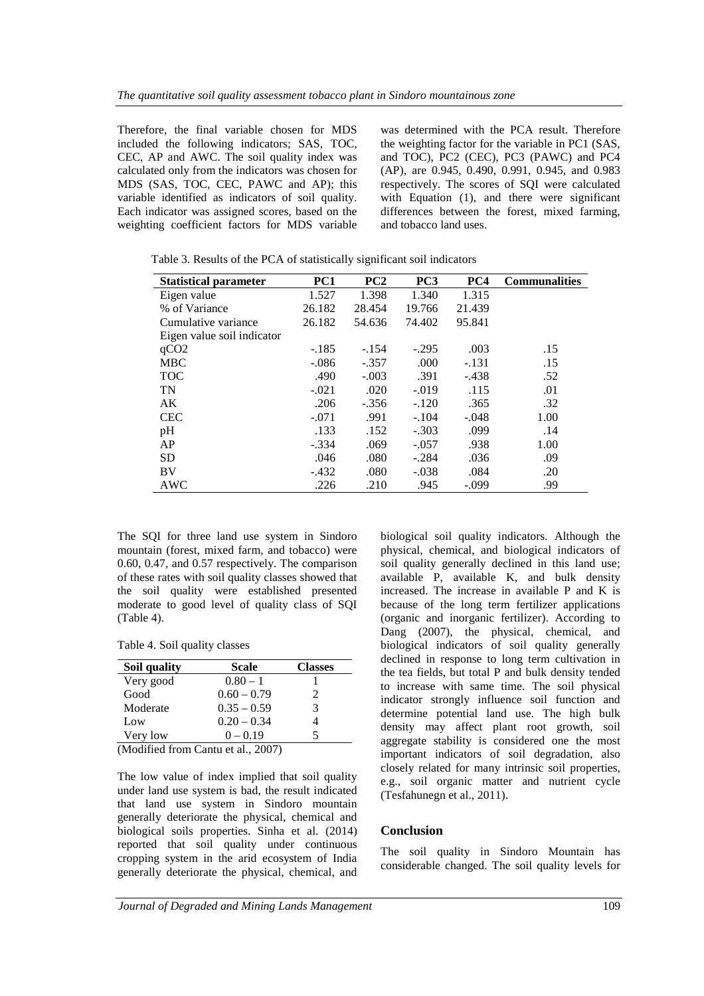Therefore, the final variable chosen for MDS included the following indicators; SAS, TOC, CEC, AP and AWC. The soil quality index was calculated only from the indicators was chosen for MDS (SAS, TOC, CEC, PAWC and AP); this variable identified as indicators of soil quality. Each indicator was assigned scores, based on the weighting coefficient factors for MDS variable was determined with the PCA result. Therefore the weighting factor for the variable in PC1 (SAS, and TOC), PC2 (CEC), PC3 (PAWC) and PC4 (AP), are 0.945, 0.490, 0.991, 0.945, and 0.983 respectively. The scores of SQI were calculated with Equation (1), and there were significant differences between the forest, mixed farming, and tobacco land uses.

| <b>Statistical parameter</b> | PC1     | PC2     | PC <sub>3</sub> | PC4     | <b>Communalities</b> |
|------------------------------|---------|---------|-----------------|---------|----------------------|
| Eigen value                  | 1.527   | 1.398   | 1.340           | 1.315   |                      |
| % of Variance                | 26.182  | 28.454  | 19.766          | 21.439  |                      |
| Cumulative variance          | 26.182  | 54.636  | 74.402          | 95.841  |                      |
| Eigen value soil indicator   |         |         |                 |         |                      |
| qCO <sub>2</sub>             | $-.185$ | $-.154$ | $-.295$         | .003    | .15                  |
| <b>MBC</b>                   | $-.086$ | $-.357$ | .000            | $-.131$ | .15                  |
| <b>TOC</b>                   | .490    | $-.003$ | .391            | $-.438$ | .52                  |
| <b>TN</b>                    | $-.021$ | .020    | $-.019$         | .115    | .01                  |
| AK                           | .206    | $-.356$ | $-.120$         | .365    | .32                  |
| <b>CEC</b>                   | $-.071$ | .991    | $-.104$         | $-.048$ | 1.00                 |
| pH                           | .133    | .152    | $-.303$         | .099    | .14                  |
| AP                           | $-.334$ | .069    | $-.057$         | .938    | 1.00                 |
| <b>SD</b>                    | .046    | .080    | $-.284$         | .036    | .09                  |
| BV                           | $-.432$ | .080    | $-.038$         | .084    | .20                  |
| AWC                          | .226    | .210    | .945            | $-.099$ | .99                  |

Table 3. Results of the PCA of statistically significant soil indicators

The SQI for three land use system in Sindoro mountain (forest, mixed farm, and tobacco) were 0.60, 0.47, and 0.57 respectively. The comparison of these rates with soil quality classes showed that the soil quality were established presented moderate to good level of quality class of SQI (Table 4).

Table 4. Soil quality classes

| Soil quality                       | <b>Scale</b>  | <b>Classes</b> |  |  |  |  |
|------------------------------------|---------------|----------------|--|--|--|--|
| Very good                          | $0.80 - 1$    |                |  |  |  |  |
| Good                               | $0.60 - 0.79$ | 2              |  |  |  |  |
| Moderate                           | $0.35 - 0.59$ | 3              |  |  |  |  |
| Low                                | $0.20 - 0.34$ |                |  |  |  |  |
| Very low<br>$0 - 0.19$             |               |                |  |  |  |  |
| (Modified from Cantu et al., 2007) |               |                |  |  |  |  |

The low value of index implied that soil quality under land use system is bad, the result indicated that land use system in Sindoro mountain generally deteriorate the physical, chemical and biological soils properties. Sinha et al. (2014) reported that soil quality under continuous cropping system in the arid ecosystem of India generally deteriorate the physical, chemical, and biological soil quality indicators. Although the physical, chemical, and biological indicators of soil quality generally declined in this land use; available P, available K, and bulk density increased. The increase in available P and K is because of the long term fertilizer applications (organic and inorganic fertilizer). According to Dang (2007), the physical, chemical, and biological indicators of soil quality generally declined in response to long term cultivation in the tea fields, but total P and bulk density tended to increase with same time. The soil physical indicator strongly influence soil function and determine potential land use. The high bulk density may affect plant root growth, soil aggregate stability is considered one the most important indicators of soil degradation, also closely related for many intrinsic soil properties, e.g., soil organic matter and nutrient cycle (Tesfahunegn et al., 2011).

## **Conclusion**

The soil quality in Sindoro Mountain has considerable changed. The soil quality levels for